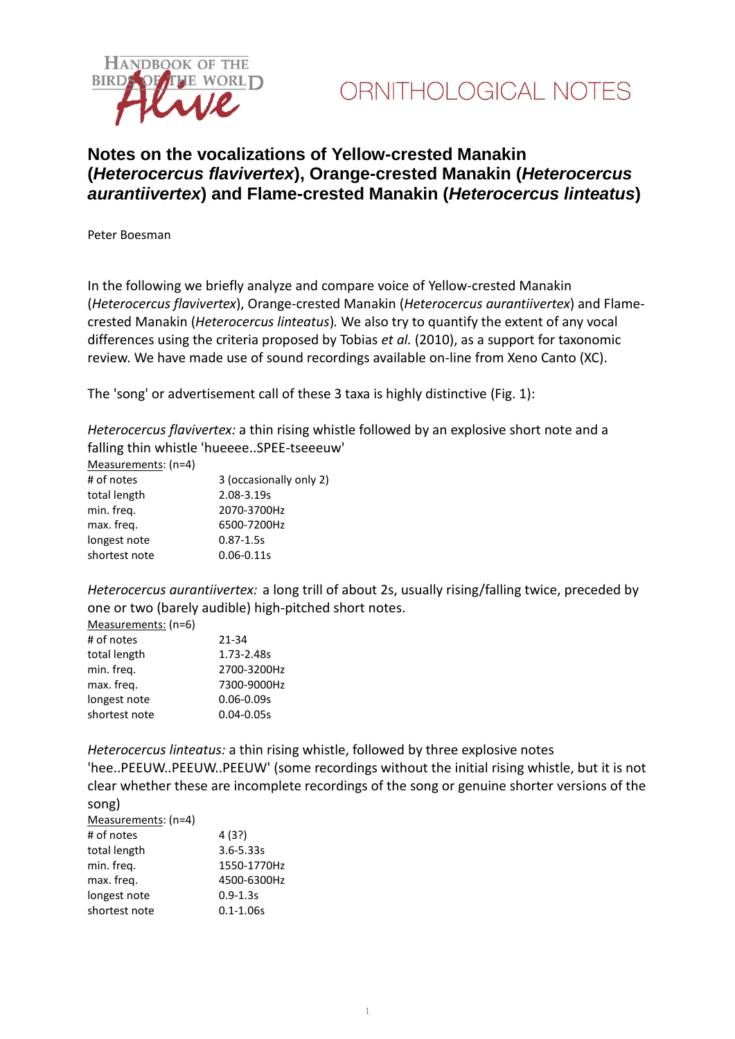



## **Notes on the vocalizations of Yellow-crested Manakin (***Heterocercus flavivertex***), Orange-crested Manakin (***Heterocercus aurantiivertex***) and Flame-crested Manakin (***Heterocercus linteatus***)**

Peter Boesman

In the following we briefly analyze and compare voice of Yellow-crested Manakin (*Heterocercus flavivertex*), Orange-crested Manakin (*Heterocercus aurantiivertex*) and Flamecrested Manakin (*Heterocercus linteatus*)*.* We also try to quantify the extent of any vocal differences using the criteria proposed by Tobias *et al.* (2010), as a support for taxonomic review. We have made use of sound recordings available on-line from Xeno Canto (XC).

The 'song' or advertisement call of these 3 taxa is highly distinctive (Fig. 1):

*Heterocercus flavivertex:* a thin rising whistle followed by an explosive short note and a falling thin whistle 'hueeee..SPEE-tseeeuw'

| Measurements: (n=4) |                         |
|---------------------|-------------------------|
| # of notes          | 3 (occasionally only 2) |
| total length        | 2.08-3.19s              |
| min. freg.          | 2070-3700Hz             |
| max. freg.          | 6500-7200Hz             |
| longest note        | $0.87 - 1.5s$           |
| shortest note       | $0.06 - 0.11s$          |

*Heterocercus aurantiivertex:* a long trill of about 2s, usually rising/falling twice, preceded by one or two (barely audible) high-pitched short notes.

| Medsurements. (11-0) |                |
|----------------------|----------------|
| # of notes           | 21-34          |
| total length         | 1.73-2.48s     |
| min. freg.           | 2700-3200Hz    |
| max. freq.           | 7300-9000Hz    |
| longest note         | $0.06 - 0.09s$ |
| shortest note        | $0.04 - 0.05s$ |
|                      |                |

Measurements: (n=6)

*Heterocercus linteatus:* a thin rising whistle, followed by three explosive notes

'hee..PEEUW..PEEUW..PEEUW' (some recordings without the initial rising whistle, but it is not clear whether these are incomplete recordings of the song or genuine shorter versions of the song)

| Measurements: (n=4) |               |
|---------------------|---------------|
| # of notes          | 4 (3?)        |
| total length        | $3.6 - 5.33s$ |
| min. freg.          | 1550-1770Hz   |
| max. freg.          | 4500-6300Hz   |
| longest note        | $0.9 - 1.3s$  |
| shortest note       | $0.1 - 1.06s$ |
|                     |               |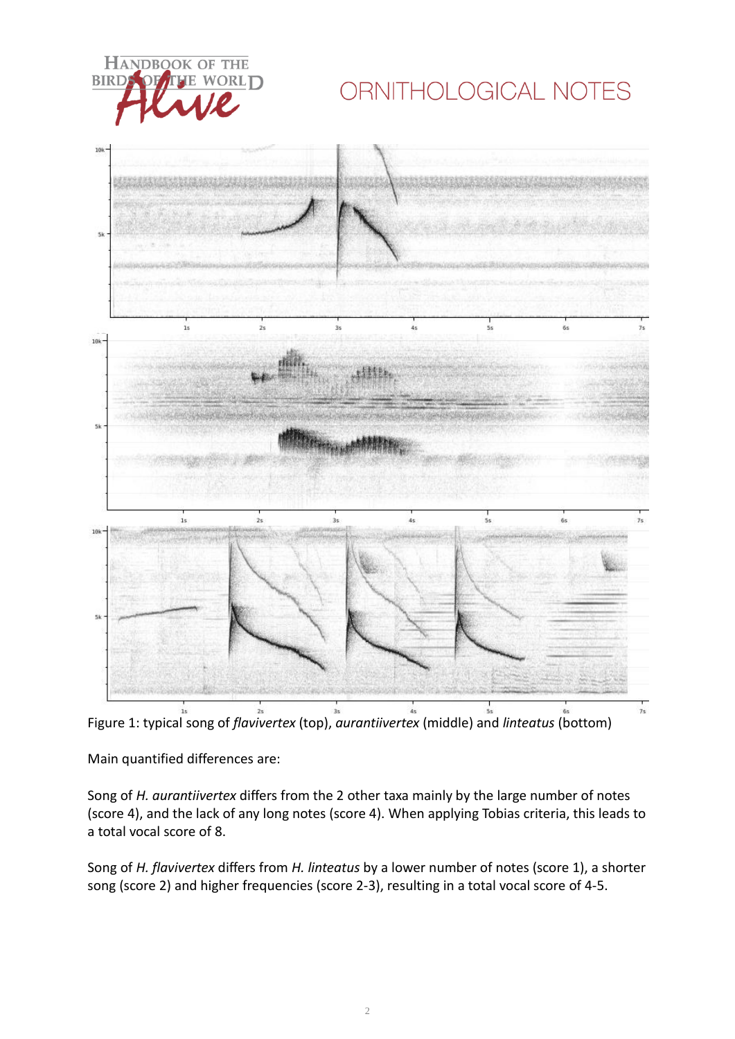

## ORNITHOLOGICAL NOTES



Figure 1: typical song of *flavivertex* (top), *aurantiivertex* (middle) and *linteatus* (bottom)

Main quantified differences are:

Song of *H. aurantiivertex* differs from the 2 other taxa mainly by the large number of notes (score 4), and the lack of any long notes (score 4). When applying Tobias criteria, this leads to a total vocal score of 8.

Song of *H. flavivertex* differs from *H. linteatus* by a lower number of notes (score 1), a shorter song (score 2) and higher frequencies (score 2-3), resulting in a total vocal score of 4-5.